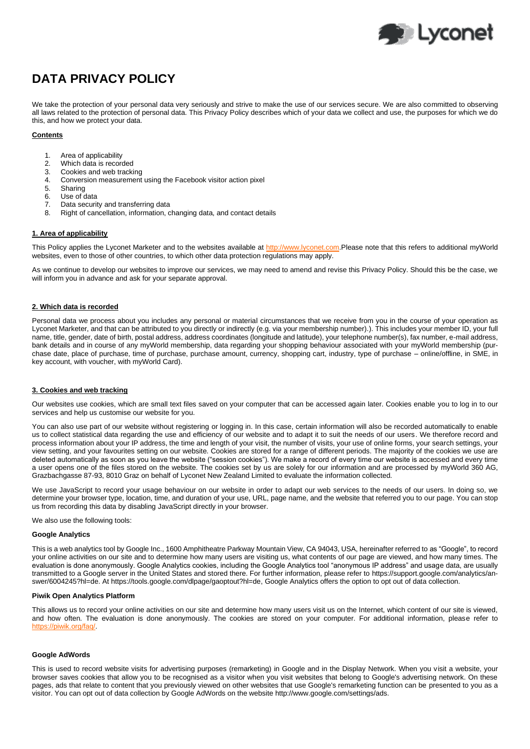

# **DATA PRIVACY POLICY**

We take the protection of your personal data very seriously and strive to make the use of our services secure. We are also committed to observing all laws related to the protection of personal data. This Privacy Policy describes which of your data we collect and use, the purposes for which we do this, and how we protect your data.

## **Contents**

- 1. Area of applicability
- 2. Which data is recorded<br>3. Cookies and web tracki
- 3. Cookies and web tracking<br>4. Conversion measurement
- 4. Conversion measurement using the Facebook visitor action pixel
- 5. Sharing
- 6. Use of data
- 7. Data security and transferring data
- 8. Right of cancellation, information, changing data, and contact details

## **1. Area of applicability**

This Policy applies the Lyconet Marketer and to the websites available at [http://www.lyconet.com.](http://www.lyconet.com/)Please note that this refers to additional myWorld websites, even to those of other countries, to which other data protection regulations may apply.

As we continue to develop our websites to improve our services, we may need to amend and revise this Privacy Policy. Should this be the case, we will inform you in advance and ask for your separate approval.

## **2. Which data is recorded**

Personal data we process about you includes any personal or material circumstances that we receive from you in the course of your operation as Lyconet Marketer, and that can be attributed to you directly or indirectly (e.g. via your membership number).). This includes your member ID, your full name, title, gender, date of birth, postal address, address coordinates (longitude and latitude), your telephone number(s), fax number, e-mail address, bank details and in course of any myWorld membership, data regarding your shopping behaviour associated with your myWorld membership (purchase date, place of purchase, time of purchase, purchase amount, currency, shopping cart, industry, type of purchase – online/offline, in SME, in key account, with voucher, with myWorld Card).

## **3. Cookies and web tracking**

Our websites use cookies, which are small text files saved on your computer that can be accessed again later. Cookies enable you to log in to our services and help us customise our website for you.

You can also use part of our website without registering or logging in. In this case, certain information will also be recorded automatically to enable us to collect statistical data regarding the use and efficiency of our website and to adapt it to suit the needs of our users. We therefore record and process information about your IP address, the time and length of your visit, the number of visits, your use of online forms, your search settings, your view setting, and your favourites setting on our website. Cookies are stored for a range of different periods. The majority of the cookies we use are deleted automatically as soon as you leave the website ("session cookies"). We make a record of every time our website is accessed and every time a user opens one of the files stored on the website. The cookies set by us are solely for our information and are processed by myWorld 360 AG, Grazbachgasse 87-93, 8010 Graz on behalf of Lyconet New Zealand Limited to evaluate the information collected.

We use JavaScript to record your usage behaviour on our website in order to adapt our web services to the needs of our users. In doing so, we determine your browser type, location, time, and duration of your use, URL, page name, and the website that referred you to our page. You can stop us from recording this data by disabling JavaScript directly in your browser.

We also use the following tools:

#### **Google Analytics**

This is a web analytics tool by Google Inc., 1600 Amphitheatre Parkway Mountain View, CA 94043, USA, hereinafter referred to as "Google", to record your online activities on our site and to determine how many users are visiting us, what contents of our page are viewed, and how many times. The evaluation is done anonymously. Google Analytics cookies, including the Google Analytics tool "anonymous IP address" and usage data, are usually transmitted to a Google server in the United States and stored there. For further information, please refer to [https://support.google.com/analytics/an](https://support.google.com/analytics/answer/6004245?hl=de)[swer/6004245?hl=de.](https://support.google.com/analytics/answer/6004245?hl=de) A[t https://tools.google.com/dlpage/gaoptout?hl=de,](https://tools.google.com/dlpage/gaoptout?hl=de) Google Analytics offers the option to opt out of data collection.

#### **Piwik Open Analytics Platform**

This allows us to record your online activities on our site and determine how many users visit us on the Internet, which content of our site is viewed, and how often. The evaluation is done anonymously. The cookies are stored on your computer. For additional information, please refer to [https://piwik.org/faq/.](https://piwik.org/faq/)

## **Google AdWords**

This is used to record website visits for advertising purposes (remarketing) in Google and in the Display Network. When you visit a website, your browser saves cookies that allow you to be recognised as a visitor when you visit websites that belong to Google's advertising network. On these pages, ads that relate to content that you previously viewed on other websites that use Google's remarketing function can be presented to you as a visitor. You can opt out of data collection by Google AdWords on the website http://www.google.com/settings/ads.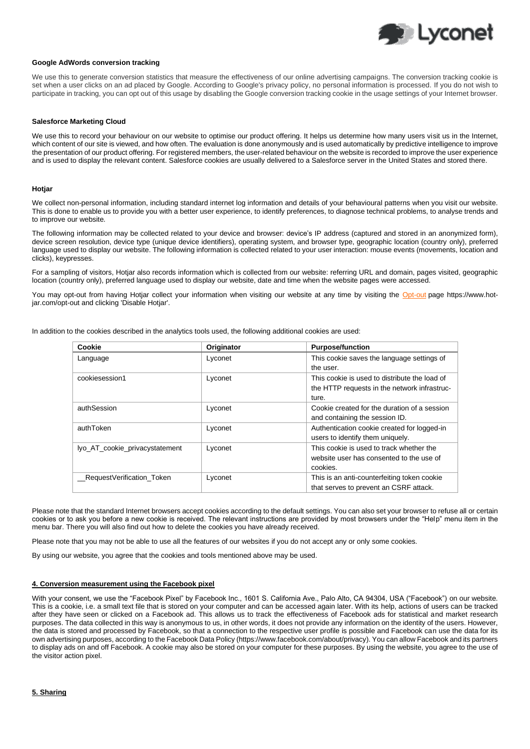

## **Google AdWords conversion tracking**

We use this to generate conversion statistics that measure the effectiveness of our online advertising campaigns. The conversion tracking cookie is set when a user clicks on an ad placed by Google. According to Google's privacy policy, no personal information is processed. If you do not wish to participate in tracking, you can opt out of this usage by disabling the Google conversion tracking cookie in the usage settings of your Internet browser.

## **Salesforce Marketing Cloud**

We use this to record your behaviour on our website to optimise our product offering. It helps us determine how many users visit us in the Internet, which content of our site is viewed, and how often. The evaluation is done anonymously and is used automatically by predictive intelligence to improve the presentation of our product offering. For registered members, the user-related behaviour on the website is recorded to improve the user experience and is used to display the relevant content. Salesforce cookies are usually delivered to a Salesforce server in the United States and stored there.

#### **Hotjar**

We collect non-personal information, including standard internet log information and details of your behavioural patterns when you visit our website. This is done to enable us to provide you with a better user experience, to identify preferences, to diagnose technical problems, to analyse trends and to improve our website.

The following information may be collected related to your device and browser: device's IP address (captured and stored in an anonymized form), device screen resolution, device type (unique device identifiers), operating system, and browser type, geographic location (country only), preferred language used to display our website. The following information is collected related to your user interaction: mouse events (movements, location and clicks), keypresses.

For a sampling of visitors, Hotjar also records information which is collected from our website: referring URL and domain, pages visited, geographic location (country only), preferred language used to display our website, date and time when the website pages were accessed.

You may opt-out from having Hotjar collect your information when visiting our website at any time by visiting the [Opt-out](https://www.hotjar.com/opt-out) page https://www.hotjar.com/opt-out and clicking 'Disable Hotjar'.

In addition to the cookies described in the analytics tools used, the following additional cookies are used:

| Cookie                         | Originator | <b>Purpose/function</b>                       |
|--------------------------------|------------|-----------------------------------------------|
| Language                       | Lyconet    | This cookie saves the language settings of    |
|                                |            | the user.                                     |
| cookiesession1                 | Lyconet    | This cookie is used to distribute the load of |
|                                |            | the HTTP requests in the network infrastruc-  |
|                                |            | ture.                                         |
| authSession                    | Lyconet    | Cookie created for the duration of a session  |
|                                |            | and containing the session ID.                |
| authToken                      | Lyconet    | Authentication cookie created for logged-in   |
|                                |            | users to identify them uniquely.              |
| lyo_AT_cookie_privacystatement | Lyconet    | This cookie is used to track whether the      |
|                                |            | website user has consented to the use of      |
|                                |            | cookies.                                      |
| RequestVerification Token      | Lyconet    | This is an anti-counterfeiting token cookie   |
|                                |            | that serves to prevent an CSRF attack.        |

Please note that the standard Internet browsers accept cookies according to the default settings. You can also set your browser to refuse all or certain cookies or to ask you before a new cookie is received. The relevant instructions are provided by most browsers under the "Help" menu item in the menu bar. There you will also find out how to delete the cookies you have already received.

Please note that you may not be able to use all the features of our websites if you do not accept any or only some cookies.

By using our website, you agree that the cookies and tools mentioned above may be used.

#### **4. Conversion measurement using the Facebook pixel**

With your consent, we use the "Facebook Pixel" by Facebook Inc., 1601 S. California Ave., Palo Alto, CA 94304, USA ("Facebook") on our website. This is a cookie, i.e. a small text file that is stored on your computer and can be accessed again later. With its help, actions of users can be tracked after they have seen or clicked on a Facebook ad. This allows us to track the effectiveness of Facebook ads for statistical and market research purposes. The data collected in this way is anonymous to us, in other words, it does not provide any information on the identity of the users. However, the data is stored and processed by Facebook, so that a connection to the respective user profile is possible and Facebook can use the data for its own advertising purposes, according to the Facebook Data Policy (https://www.facebook.com/about/privacy). You can allow Facebook and its partners to display ads on and off Facebook. A cookie may also be stored on your computer for these purposes. By using the website, you agree to the use of the visitor action pixel.